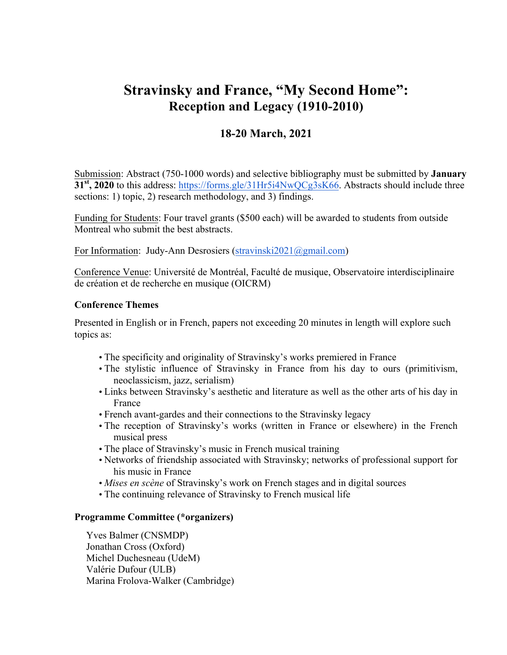## **Stravinsky and France, "My Second Home": Reception and Legacy (1910-2010)**

## **18-20 March, 2021**

Submission: Abstract (750-1000 words) and selective bibliography must be submitted by **January 31st, 2020** to this address: https://forms.gle/31Hr5i4NwQCg3sK66. Abstracts should include three sections: 1) topic, 2) research methodology, and 3) findings.

Funding for Students: Four travel grants (\$500 each) will be awarded to students from outside Montreal who submit the best abstracts.

For Information: Judy-Ann Desrosiers (stravinski2021@gmail.com)

Conference Venue: Université de Montréal, Faculté de musique, Observatoire interdisciplinaire de création et de recherche en musique (OICRM)

## **Conference Themes**

Presented in English or in French, papers not exceeding 20 minutes in length will explore such topics as:

- The specificity and originality of Stravinsky's works premiered in France
- The stylistic influence of Stravinsky in France from his day to ours (primitivism, neoclassicism, jazz, serialism)
- Links between Stravinsky's aesthetic and literature as well as the other arts of his day in France
- French avant-gardes and their connections to the Stravinsky legacy
- The reception of Stravinsky's works (written in France or elsewhere) in the French musical press
- The place of Stravinsky's music in French musical training
- Networks of friendship associated with Stravinsky; networks of professional support for his music in France
- *Mises en scène* of Stravinsky's work on French stages and in digital sources
- The continuing relevance of Stravinsky to French musical life

## **Programme Committee (\*organizers)**

Yves Balmer (CNSMDP) Jonathan Cross (Oxford) Michel Duchesneau (UdeM) Valérie Dufour (ULB) Marina Frolova-Walker (Cambridge)